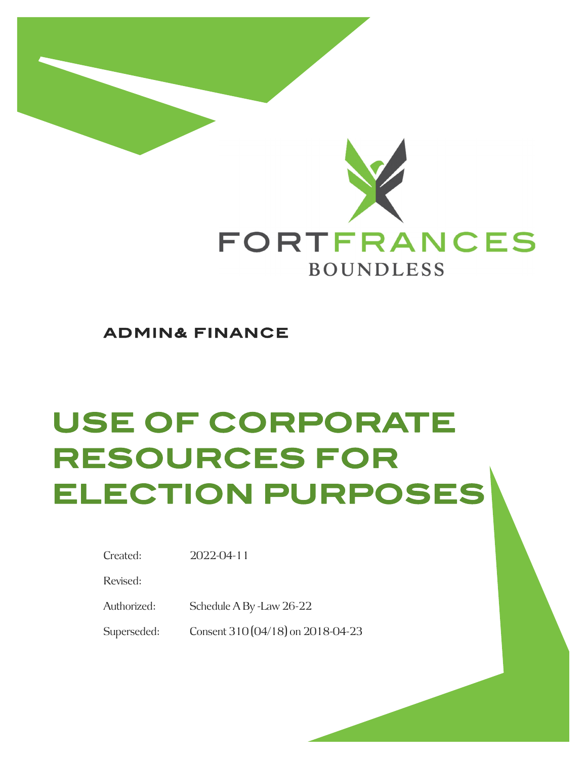

**ADMIN& FINANCE** 

# **USE OF CORPORATE RESOURCES FOR ELECTION PURPOSES**

Revised:

Authorized: Schedule A By -Law 26-22

Superseded: Consent 310 (04/18) on 2018-04-23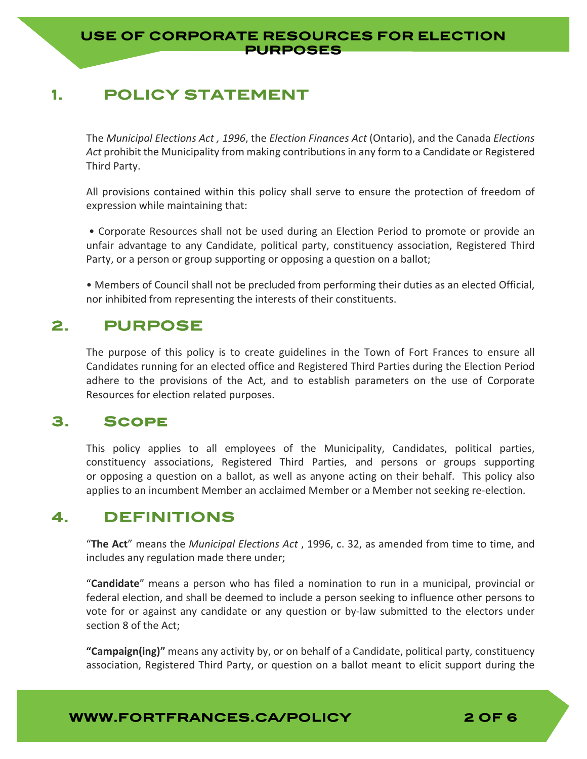### **USE OF CORPORATE RESOURCES FOR ELECTION PURPOSES**

# **1. POLICY STATEMENT**

The *Municipal Elections Act , 1996*, the *Election Finances Act* (Ontario), and the Canada *Elections Act* prohibit the Municipality from making contributions in any form to a Candidate or Registered Third Party.

All provisions contained within this policy shall serve to ensure the protection of freedom of expression while maintaining that:

• Corporate Resources shall not be used during an Election Period to promote or provide an unfair advantage to any Candidate, political party, constituency association, Registered Third Party, or a person or group supporting or opposing a question on a ballot;

• Members of Council shall not be precluded from performing their duties as an elected Official, nor inhibited from representing the interests of their constituents.

## **2. PURPOSE**

The purpose of this policy is to create guidelines in the Town of Fort Frances to ensure all Candidates running for an elected office and Registered Third Parties during the Election Period adhere to the provisions of the Act, and to establish parameters on the use of Corporate Resources for election related purposes.

## **3. Scope**

This policy applies to all employees of the Municipality, Candidates, political parties, constituency associations, Registered Third Parties, and persons or groups supporting or opposing a question on a ballot, as well as anyone acting on their behalf. This policy also applies to an incumbent Member an acclaimed Member or a Member not seeking re‐election.

## **4. DEFINITIONS**

"**The Act**" means the *Municipal Elections Act* , 1996, c. 32, as amended from time to time, and includes any regulation made there under;

"**Candidate**" means a person who has filed a nomination to run in a municipal, provincial or federal election, and shall be deemed to include a person seeking to influence other persons to vote for or against any candidate or any question or by-law submitted to the electors under section 8 of the Act;

**"Campaign(ing)"** means any activity by, or on behalf of a Candidate, political party, constituency association, Registered Third Party, or question on a ballot meant to elicit support during the

**WWW.FORTFRANCES.CA/POLICY 2 OF 6** 

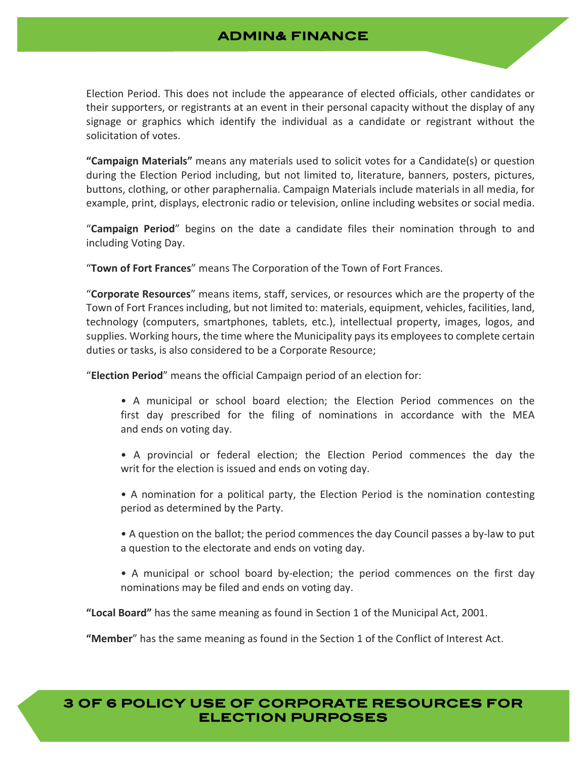## **ADMIN& FINANCE**

Election Period. This does not include the appearance of elected officials, other candidates or their supporters, or registrants at an event in their personal capacity without the display of any signage or graphics which identify the individual as a candidate or registrant without the solicitation of votes.

**"Campaign Materials"** means any materials used to solicit votes for a Candidate(s) or question during the Election Period including, but not limited to, literature, banners, posters, pictures, buttons, clothing, or other paraphernalia. Campaign Materials include materials in all media, for example, print, displays, electronic radio or television, online including websites or social media.

"**Campaign Period**" begins on the date a candidate files their nomination through to and including Voting Day.

"**Town of Fort Frances**" means The Corporation of the Town of Fort Frances.

"**Corporate Resources**" means items, staff, services, or resources which are the property of the Town of Fort Frances including, but not limited to: materials, equipment, vehicles, facilities, land, technology (computers, smartphones, tablets, etc.), intellectual property, images, logos, and supplies. Working hours, the time where the Municipality paysits employeesto complete certain duties or tasks, is also considered to be a Corporate Resource;

"**Election Period**" means the official Campaign period of an election for:

- A municipal or school board election; the Election Period commences on the first day prescribed for the filing of nominations in accordance with the MEA and ends on voting day.
- A provincial or federal election; the Election Period commences the day the writ for the election is issued and ends on voting day.
- A nomination for a political party, the Election Period is the nomination contesting period as determined by the Party.
- A question on the ballot; the period commences the day Council passes a by‐law to put a question to the electorate and ends on voting day.
- A municipal or school board by-election; the period commences on the first day nominations may be filed and ends on voting day.

**"Local Board"** has the same meaning as found in Section 1 of the Municipal Act, 2001.

**"Member**" has the same meaning as found in the Section 1 of the Conflict of Interest Act.

## **3 OF 6 POLICY USE OF CORPORATE RESOURCES FOR ELECTION PURPOSES**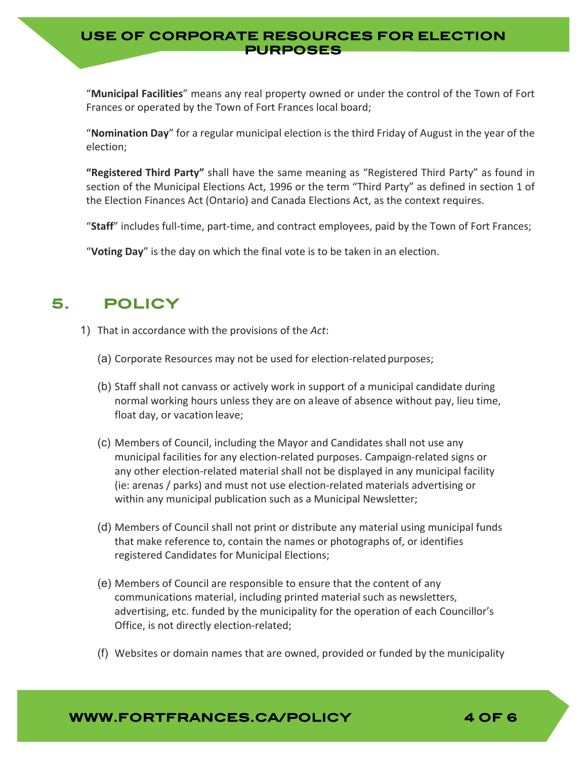### **USE OF CORPORATE RESOURCES FOR ELECTION PURPOSES**

"**Municipal Facilities**" means any real property owned or under the control of the Town of Fort Frances or operated by the Town of Fort Frances local board;

"**Nomination Day**" for a regular municipal election is the third Friday of August in the year of the election;

**"Registered Third Party"** shall have the same meaning as "Registered Third Party" as found in section of the Municipal Elections Act, 1996 or the term "Third Party" as defined in section 1 of the Election Finances Act (Ontario) and Canada Elections Act, as the context requires.

"Staff" includes full-time, part-time, and contract employees, paid by the Town of Fort Frances;

"**Voting Day**" is the day on which the final vote is to be taken in an election.

# **5. POLICY**

- 1) That in accordance with the provisions of the *Act*:
	- (a) Corporate Resources may not be used for election‐related purposes;
	- (b) Staff shall not canvass or actively work in support of a municipal candidate during normal working hours unless they are on aleave of absence without pay, lieu time, float day, or vacation leave;
	- (c) Members of Council, including the Mayor and Candidates shall not use any municipal facilities for any election‐related purposes. Campaign‐related signs or any other election‐related material shall not be displayed in any municipal facility (ie: arenas / parks) and must not use election‐related materials advertising or within any municipal publication such as a Municipal Newsletter;
	- (d) Members of Council shall not print or distribute any material using municipal funds that make reference to, contain the names or photographs of, or identifies registered Candidates for Municipal Elections;
	- (e) Members of Council are responsible to ensure that the content of any communications material, including printed material such as newsletters, advertising, etc. funded by the municipality for the operation of each Councillor's Office, is not directly election‐related;
	- (f) Websites or domain names that are owned, provided or funded by the municipality

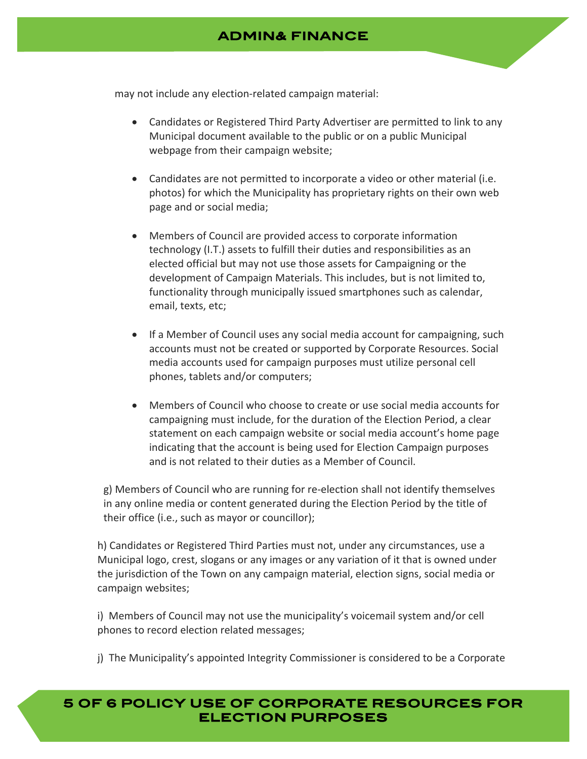## **ADMIN& FINANCE**

may not include any election‐related campaign material:

- Candidates or Registered Third Party Advertiser are permitted to link to any Municipal document available to the public or on a public Municipal webpage from their campaign website;
- Candidates are not permitted to incorporate a video or other material (i.e. photos) for which the Municipality has proprietary rights on their own web page and or social media;
- Members of Council are provided access to corporate information technology (I.T.) assets to fulfill their duties and responsibilities as an elected official but may not use those assets for Campaigning or the development of Campaign Materials. This includes, but is not limited to, functionality through municipally issued smartphones such as calendar, email, texts, etc;
- If a Member of Council uses any social media account for campaigning, such accounts must not be created or supported by Corporate Resources. Social media accounts used for campaign purposes must utilize personal cell phones, tablets and/or computers;
- Members of Council who choose to create or use social media accounts for campaigning must include, for the duration of the Election Period, a clear statement on each campaign website or social media account's home page indicating that the account is being used for Election Campaign purposes and is not related to their duties as a Member of Council.

g) Members of Council who are running for re‐election shall not identify themselves in any online media or content generated during the Election Period by the title of their office (i.e., such as mayor or councillor);

h) Candidates or Registered Third Parties must not, under any circumstances, use a Municipal logo, crest, slogans or any images or any variation of it that is owned under the jurisdiction of the Town on any campaign material, election signs, social media or campaign websites;

i) Members of Council may not use the municipality's voicemail system and/or cell phones to record election related messages;

j) The Municipality's appointed Integrity Commissioner is considered to be a Corporate

## **5 OF 6 POLICY USE OF CORPORATE RESOURCES FOR ELECTION PURPOSES**